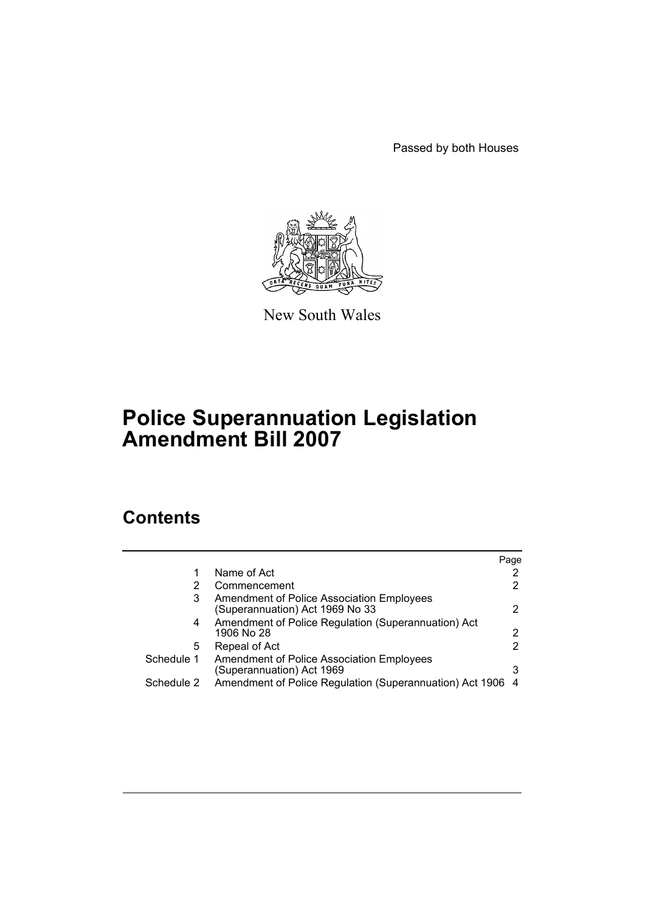Passed by both Houses



New South Wales

# **Police Superannuation Legislation Amendment Bill 2007**

# **Contents**

|            |                                                                              | Page                  |
|------------|------------------------------------------------------------------------------|-----------------------|
|            | Name of Act                                                                  | 2                     |
| 2          | Commencement                                                                 | $\mathbf{2}^{\prime}$ |
| 3          | Amendment of Police Association Employees<br>(Superannuation) Act 1969 No 33 | 2                     |
| 4          | Amendment of Police Regulation (Superannuation) Act<br>1906 No 28            | 2                     |
| 5          | Repeal of Act                                                                | 2                     |
| Schedule 1 | Amendment of Police Association Employees<br>(Superannuation) Act 1969       | 3                     |
| Schedule 2 | Amendment of Police Regulation (Superannuation) Act 1906                     | -4                    |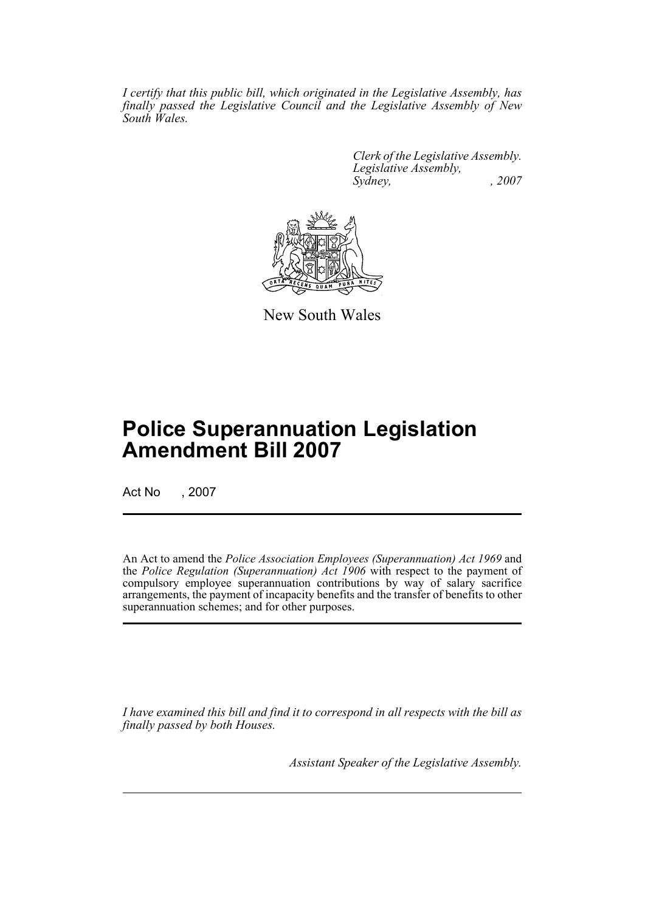*I certify that this public bill, which originated in the Legislative Assembly, has finally passed the Legislative Council and the Legislative Assembly of New South Wales.*

> *Clerk of the Legislative Assembly. Legislative Assembly, Sydney, , 2007*



New South Wales

# **Police Superannuation Legislation Amendment Bill 2007**

Act No , 2007

An Act to amend the *Police Association Employees (Superannuation) Act 1969* and the *Police Regulation (Superannuation) Act 1906* with respect to the payment of compulsory employee superannuation contributions by way of salary sacrifice arrangements, the payment of incapacity benefits and the transfer of benefits to other superannuation schemes; and for other purposes.

*I have examined this bill and find it to correspond in all respects with the bill as finally passed by both Houses.*

*Assistant Speaker of the Legislative Assembly.*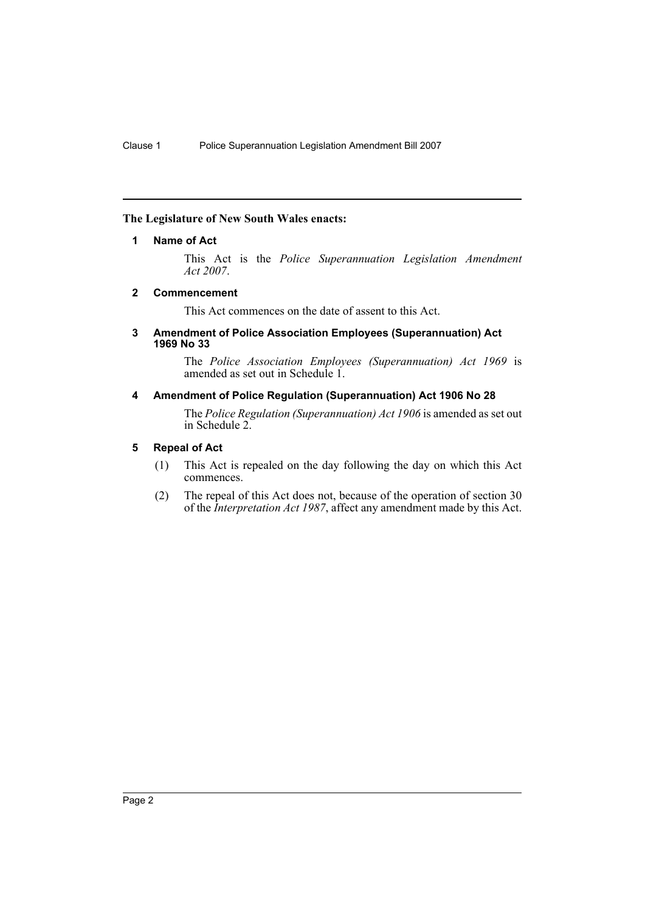# <span id="page-2-0"></span>**The Legislature of New South Wales enacts:**

# **1 Name of Act**

This Act is the *Police Superannuation Legislation Amendment Act 2007*.

# <span id="page-2-1"></span>**2 Commencement**

This Act commences on the date of assent to this Act.

#### <span id="page-2-2"></span>**3 Amendment of Police Association Employees (Superannuation) Act 1969 No 33**

The *Police Association Employees (Superannuation) Act 1969* is amended as set out in Schedule 1.

# <span id="page-2-3"></span>**4 Amendment of Police Regulation (Superannuation) Act 1906 No 28**

The *Police Regulation (Superannuation) Act 1906* is amended as set out in Schedule 2.

# <span id="page-2-4"></span>**5 Repeal of Act**

- (1) This Act is repealed on the day following the day on which this Act commences.
- (2) The repeal of this Act does not, because of the operation of section 30 of the *Interpretation Act 1987*, affect any amendment made by this Act.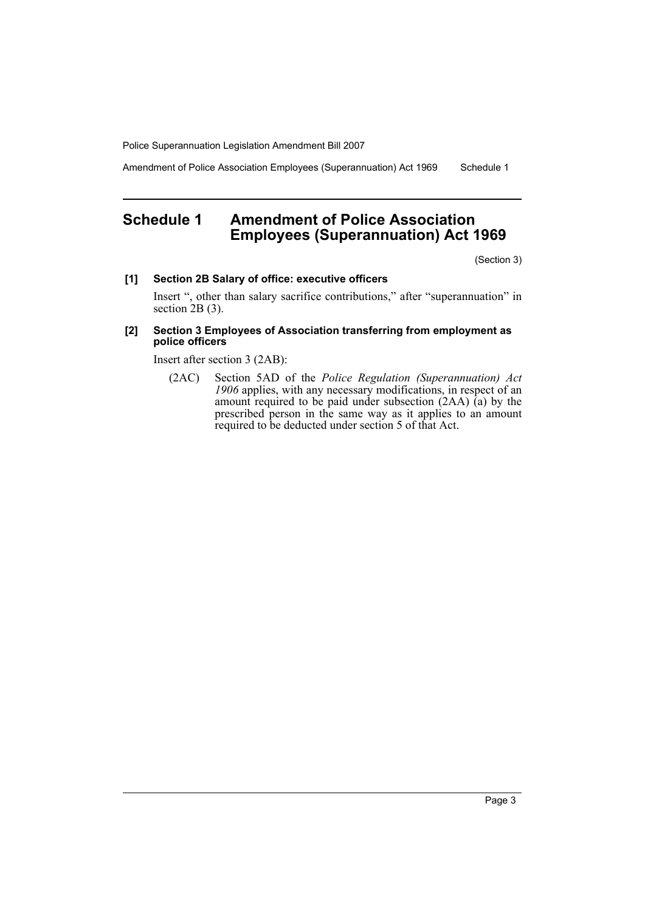Amendment of Police Association Employees (Superannuation) Act 1969 Schedule 1

# <span id="page-3-0"></span>**Schedule 1 Amendment of Police Association Employees (Superannuation) Act 1969**

(Section 3)

#### **[1] Section 2B Salary of office: executive officers**

Insert ", other than salary sacrifice contributions," after "superannuation" in section 2B (3).

# **[2] Section 3 Employees of Association transferring from employment as police officers**

Insert after section 3 (2AB):

(2AC) Section 5AD of the *Police Regulation (Superannuation) Act 1906* applies, with any necessary modifications, in respect of an amount required to be paid under subsection (2AA) (a) by the prescribed person in the same way as it applies to an amount required to be deducted under section 5 of that Act.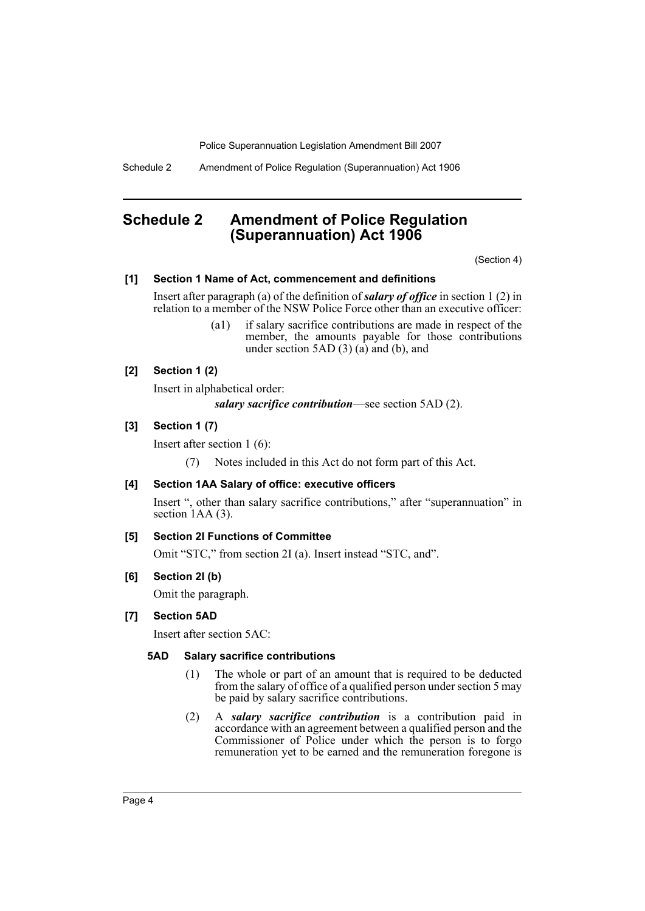Schedule 2 Amendment of Police Regulation (Superannuation) Act 1906

# <span id="page-4-0"></span>**Schedule 2 Amendment of Police Regulation (Superannuation) Act 1906**

(Section 4)

# **[1] Section 1 Name of Act, commencement and definitions**

Insert after paragraph (a) of the definition of *salary of office* in section 1 (2) in relation to a member of the NSW Police Force other than an executive officer:

> (a1) if salary sacrifice contributions are made in respect of the member, the amounts payable for those contributions under section 5AD  $(3)$   $(a)$  and  $(b)$ , and

# **[2] Section 1 (2)**

Insert in alphabetical order:

*salary sacrifice contribution*—see section 5AD (2).

# **[3] Section 1 (7)**

Insert after section 1 (6):

(7) Notes included in this Act do not form part of this Act.

# **[4] Section 1AA Salary of office: executive officers**

Insert ", other than salary sacrifice contributions," after "superannuation" in section 1AA (3).

# **[5] Section 2I Functions of Committee**

Omit "STC," from section 2I (a). Insert instead "STC, and".

# **[6] Section 2I (b)**

Omit the paragraph.

#### **[7] Section 5AD**

Insert after section 5AC:

# **5AD Salary sacrifice contributions**

- (1) The whole or part of an amount that is required to be deducted from the salary of office of a qualified person under section 5 may be paid by salary sacrifice contributions.
- (2) A *salary sacrifice contribution* is a contribution paid in accordance with an agreement between a qualified person and the Commissioner of Police under which the person is to forgo remuneration yet to be earned and the remuneration foregone is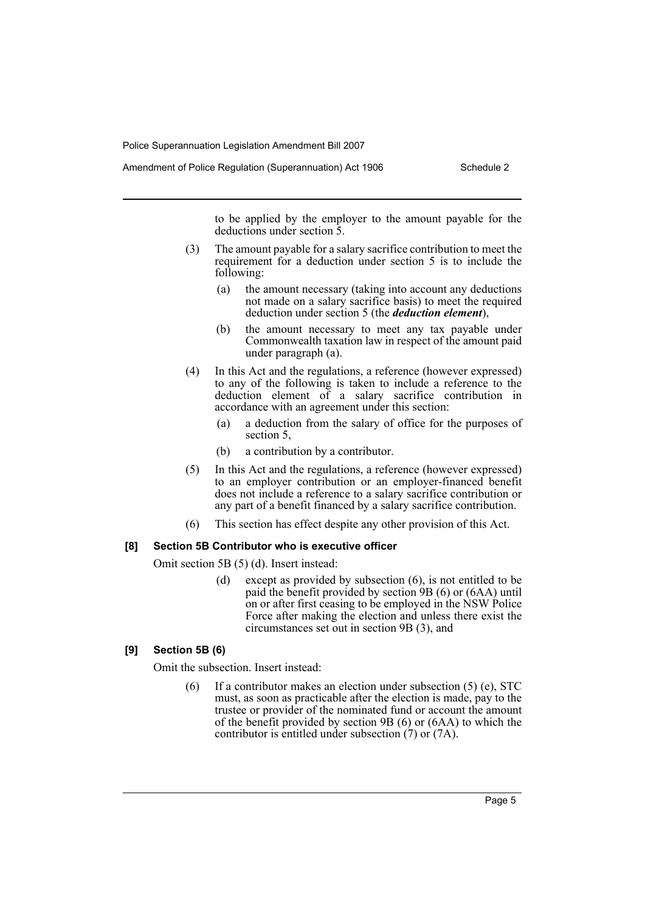to be applied by the employer to the amount payable for the deductions under section 5.

- (3) The amount payable for a salary sacrifice contribution to meet the requirement for a deduction under section 5 is to include the following:
	- (a) the amount necessary (taking into account any deductions not made on a salary sacrifice basis) to meet the required deduction under section 5 (the *deduction element*),
	- (b) the amount necessary to meet any tax payable under Commonwealth taxation law in respect of the amount paid under paragraph (a).
- (4) In this Act and the regulations, a reference (however expressed) to any of the following is taken to include a reference to the deduction element of a salary sacrifice contribution in accordance with an agreement under this section:
	- (a) a deduction from the salary of office for the purposes of section 5,
	- (b) a contribution by a contributor.
- (5) In this Act and the regulations, a reference (however expressed) to an employer contribution or an employer-financed benefit does not include a reference to a salary sacrifice contribution or any part of a benefit financed by a salary sacrifice contribution.
- (6) This section has effect despite any other provision of this Act.

#### **[8] Section 5B Contributor who is executive officer**

Omit section 5B (5) (d). Insert instead:

(d) except as provided by subsection (6), is not entitled to be paid the benefit provided by section 9B (6) or (6AA) until on or after first ceasing to be employed in the NSW Police Force after making the election and unless there exist the circumstances set out in section 9B (3), and

# **[9] Section 5B (6)**

Omit the subsection. Insert instead:

(6) If a contributor makes an election under subsection (5) (e), STC must, as soon as practicable after the election is made, pay to the trustee or provider of the nominated fund or account the amount of the benefit provided by section 9B (6) or (6AA) to which the contributor is entitled under subsection (7) or (7A).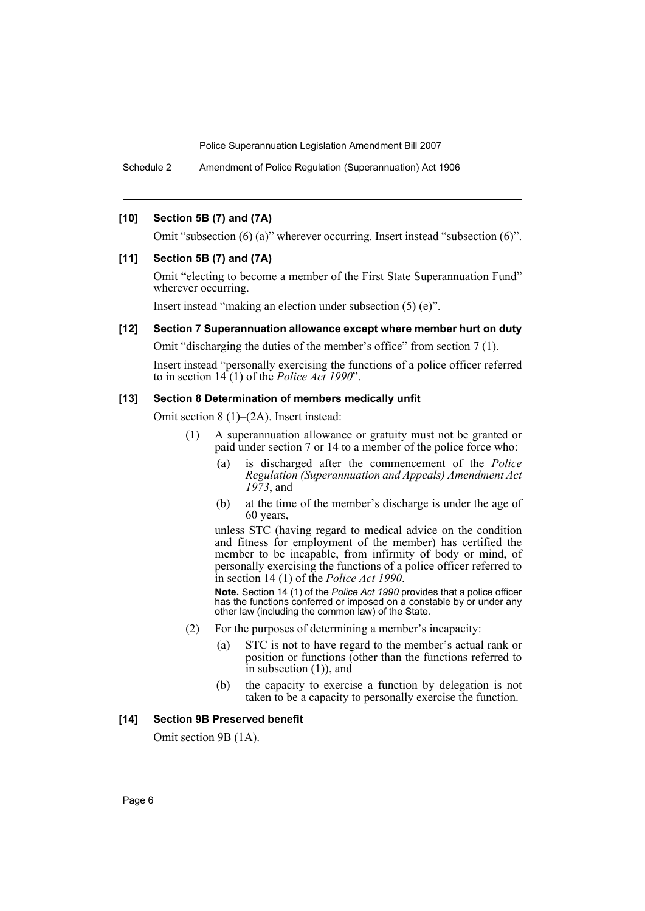Schedule 2 Amendment of Police Regulation (Superannuation) Act 1906

# **[10] Section 5B (7) and (7A)**

Omit "subsection (6) (a)" wherever occurring. Insert instead "subsection (6)".

## **[11] Section 5B (7) and (7A)**

Omit "electing to become a member of the First State Superannuation Fund" wherever occurring.

Insert instead "making an election under subsection (5) (e)".

# **[12] Section 7 Superannuation allowance except where member hurt on duty**

Omit "discharging the duties of the member's office" from section 7 (1).

Insert instead "personally exercising the functions of a police officer referred to in section 14 (1) of the *Police Act 1990*".

#### **[13] Section 8 Determination of members medically unfit**

Omit section 8 (1)–(2A). Insert instead:

- (1) A superannuation allowance or gratuity must not be granted or paid under section 7 or 14 to a member of the police force who:
	- (a) is discharged after the commencement of the *Police Regulation (Superannuation and Appeals) Amendment Act 1973*, and
	- (b) at the time of the member's discharge is under the age of 60 years,

unless STC (having regard to medical advice on the condition and fitness for employment of the member) has certified the member to be incapable, from infirmity of body or mind, of personally exercising the functions of a police officer referred to in section 14 (1) of the *Police Act 1990*.

**Note.** Section 14 (1) of the *Police Act 1990* provides that a police officer has the functions conferred or imposed on a constable by or under any other law (including the common law) of the State.

- (2) For the purposes of determining a member's incapacity:
	- (a) STC is not to have regard to the member's actual rank or position or functions (other than the functions referred to in subsection (1)), and
	- (b) the capacity to exercise a function by delegation is not taken to be a capacity to personally exercise the function.

#### **[14] Section 9B Preserved benefit**

Omit section 9B (1A).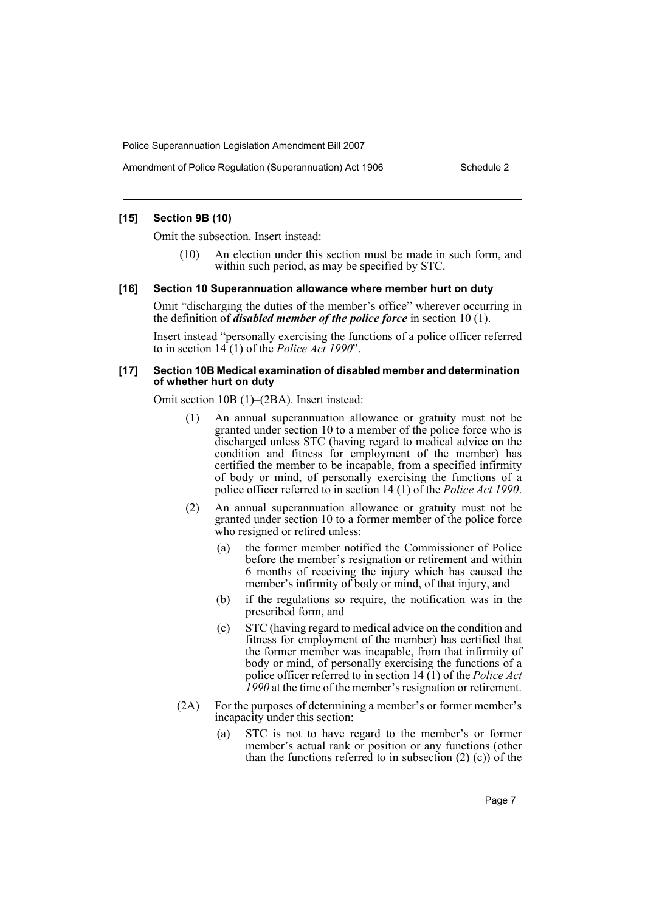#### **[15] Section 9B (10)**

Omit the subsection. Insert instead:

(10) An election under this section must be made in such form, and within such period, as may be specified by STC.

#### **[16] Section 10 Superannuation allowance where member hurt on duty**

Omit "discharging the duties of the member's office" wherever occurring in the definition of *disabled member of the police force* in section 10 (1).

Insert instead "personally exercising the functions of a police officer referred to in section 14 (1) of the *Police Act 1990*".

#### **[17] Section 10B Medical examination of disabled member and determination of whether hurt on duty**

Omit section 10B (1)–(2BA). Insert instead:

- (1) An annual superannuation allowance or gratuity must not be granted under section 10 to a member of the police force who is discharged unless STC (having regard to medical advice on the condition and fitness for employment of the member) has certified the member to be incapable, from a specified infirmity of body or mind, of personally exercising the functions of a police officer referred to in section 14 (1) of the *Police Act 1990*.
- (2) An annual superannuation allowance or gratuity must not be granted under section 10 to a former member of the police force who resigned or retired unless:
	- (a) the former member notified the Commissioner of Police before the member's resignation or retirement and within 6 months of receiving the injury which has caused the member's infirmity of body or mind, of that injury, and
	- (b) if the regulations so require, the notification was in the prescribed form, and
	- (c) STC (having regard to medical advice on the condition and fitness for employment of the member) has certified that the former member was incapable, from that infirmity of body or mind, of personally exercising the functions of a police officer referred to in section 14 (1) of the *Police Act 1990* at the time of the member's resignation or retirement.
- (2A) For the purposes of determining a member's or former member's incapacity under this section:
	- (a) STC is not to have regard to the member's or former member's actual rank or position or any functions (other than the functions referred to in subsection (2) (c)) of the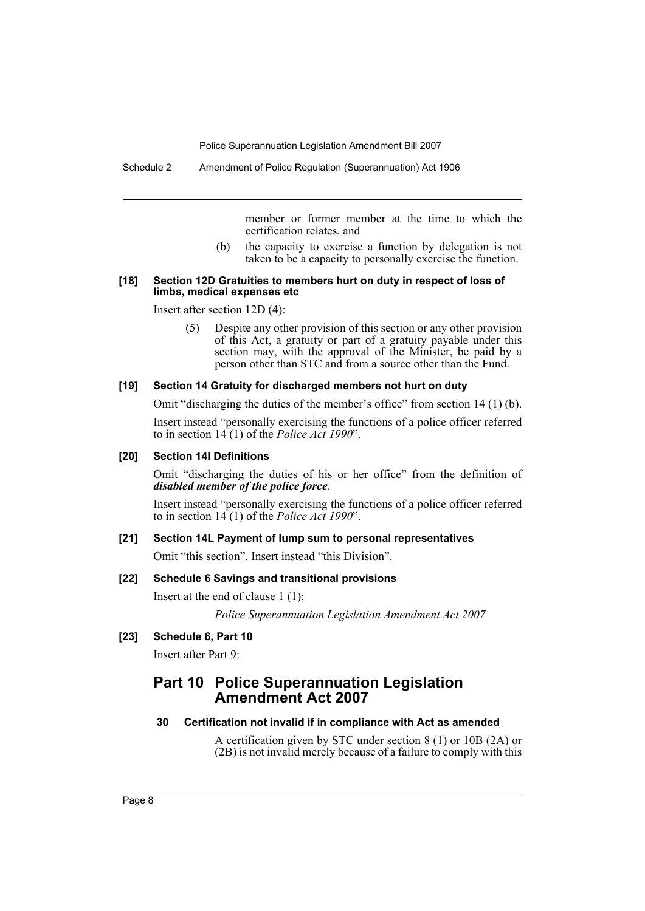member or former member at the time to which the certification relates, and

(b) the capacity to exercise a function by delegation is not taken to be a capacity to personally exercise the function.

#### **[18] Section 12D Gratuities to members hurt on duty in respect of loss of limbs, medical expenses etc**

Insert after section 12D (4):

(5) Despite any other provision of this section or any other provision of this Act, a gratuity or part of a gratuity payable under this section may, with the approval of the Minister, be paid by a person other than STC and from a source other than the Fund.

#### **[19] Section 14 Gratuity for discharged members not hurt on duty**

Omit "discharging the duties of the member's office" from section 14 (1) (b).

Insert instead "personally exercising the functions of a police officer referred to in section 14 (1) of the *Police Act 1990*".

#### **[20] Section 14I Definitions**

Omit "discharging the duties of his or her office" from the definition of *disabled member of the police force*.

Insert instead "personally exercising the functions of a police officer referred to in section 14 (1) of the *Police Act 1990*".

# **[21] Section 14L Payment of lump sum to personal representatives**

Omit "this section". Insert instead "this Division".

#### **[22] Schedule 6 Savings and transitional provisions**

Insert at the end of clause 1 (1):

*Police Superannuation Legislation Amendment Act 2007*

# **[23] Schedule 6, Part 10**

Insert after Part 9:

# **Part 10 Police Superannuation Legislation Amendment Act 2007**

#### **30 Certification not invalid if in compliance with Act as amended**

A certification given by STC under section 8 (1) or 10B (2A) or (2B) is not invalid merely because of a failure to comply with this